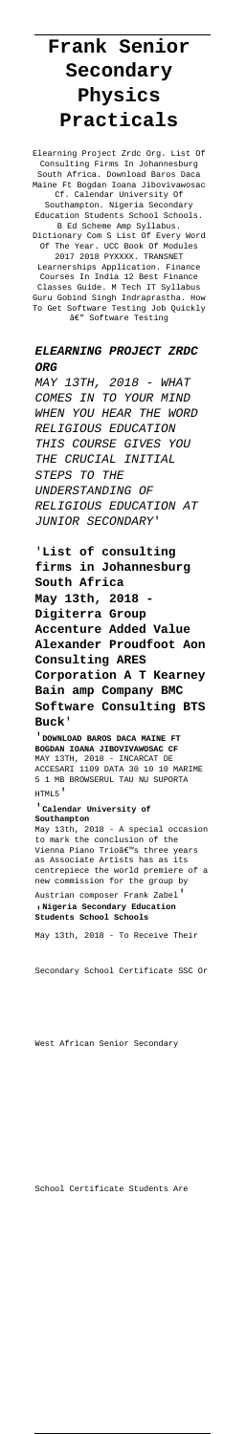## **Frank Senior Secondary Physics Practicals**

Elearning Project Zrdc Org. List Of Consulting Firms In Johannesburg South Africa. Download Baros Daca Maine Ft Bogdan Ioana Jibovivawosac University Of Southampton. Nigeria Secondary<br>lucation Students School Schools. Education Students School Schools. B Ed Scheme Amp Syllabus. Dictionary Com S List Of Every Word Of The Year. UCC Book Of Modules 2017 2018 PYXXXX. TRANSNET Learnerships Application. Finance Courses In India 12 Best Finance Classes Guide. M Tech IT Syllabus Guru Gobind Singh Indraprastha. How To Get Software Testing Job Quickly â€″ Software Testing

## **ELEARNING PROJECT ZRDC ORG**

MAY 13TH, 2018 - WHAT COMES IN TO YOUR MIND WHEN YOU HEAR THE WORD RELIGIOUS EDUCATION THIS COURSE GIVES YOU THE CRUCIAL INITIAL STEPS TO THE UNDERSTANDING OF RELIGIOUS EDUCATION AT JUNIOR SECONDARY'

'**List of consulting firms in Johannesburg South Africa May 13th, 2018 - Digiterra Group Accenture Added Value Alexander Proudfoot Aon Consulting ARES Corporation A T Kearney Bain amp Company BMC Software Consulting BTS Buck**'

'**DOWNLOAD BAROS DACA MAINE FT BOGDAN IOANA JIBOVIVAWOSAC CF** MAY 13TH, 2018 - INCARCAT DE ACCESARI 1109 DATA 30 10 10 MARIME 5 1 MB BROWSERUL TAU NU SUPORTA HTML5'

'**Calendar University of Southampton** May 13th, 2018 - A special occasion to mark the conclusion of the Vienna Piano Trio's three years as Associate Artists has as its centrepiece the world premiere of a new commission for the group by Austrian composer Frank Zabel' '**Nigeria Secondary Education Students School Schools**

May 13th, 2018 - To Receive Their

Secondary School Certificate SSC Or

School Certificate Students Are